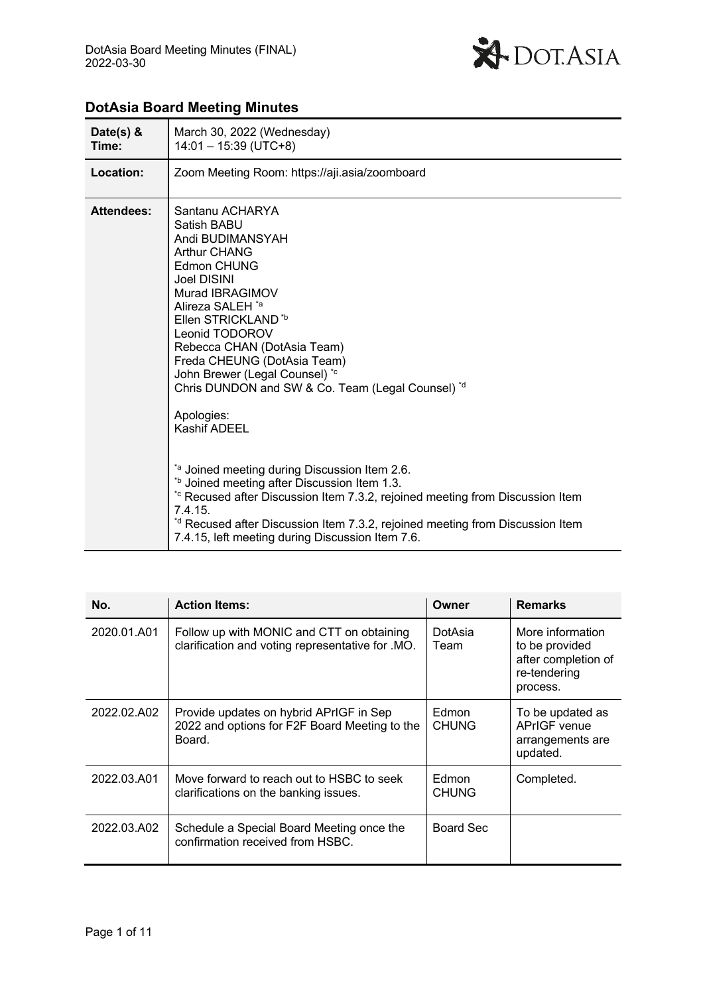

| Date(s) $&$<br>Time: | March 30, 2022 (Wednesday)<br>$14:01 - 15:39$ (UTC+8)                                                                                                                                                                                                                                                                                                                                                                                                                                                                                                                                                                                                                                                                                                      |
|----------------------|------------------------------------------------------------------------------------------------------------------------------------------------------------------------------------------------------------------------------------------------------------------------------------------------------------------------------------------------------------------------------------------------------------------------------------------------------------------------------------------------------------------------------------------------------------------------------------------------------------------------------------------------------------------------------------------------------------------------------------------------------------|
| Location:            | Zoom Meeting Room: https://aji.asia/zoomboard                                                                                                                                                                                                                                                                                                                                                                                                                                                                                                                                                                                                                                                                                                              |
| <b>Attendees:</b>    | Santanu ACHARYA<br>Satish BABU<br>Andi BUDIMANSYAH<br><b>Arthur CHANG</b><br>Edmon CHUNG<br><b>Joel DISINI</b><br>Murad IBRAGIMOV<br>Alireza SALEH <sup>*a</sup><br>Ellen STRICKLAND <sup>*b</sup><br>Leonid TODOROV<br>Rebecca CHAN (DotAsia Team)<br>Freda CHEUNG (DotAsia Team)<br>John Brewer (Legal Counsel) *c<br>Chris DUNDON and SW & Co. Team (Legal Counsel) *d<br>Apologies:<br><b>Kashif ADEEL</b><br><sup>ta</sup> Joined meeting during Discussion Item 2.6.<br>*b Joined meeting after Discussion Item 1.3.<br>* Recused after Discussion Item 7.3.2, rejoined meeting from Discussion Item<br>7.4.15.<br>*d Recused after Discussion Item 7.3.2, rejoined meeting from Discussion Item<br>7.4.15, left meeting during Discussion Item 7.6. |

# **DotAsia Board Meeting Minutes**

| No.         | <b>Action Items:</b>                                                                               | Owner                 | <b>Remarks</b>                                                                        |
|-------------|----------------------------------------------------------------------------------------------------|-----------------------|---------------------------------------------------------------------------------------|
| 2020.01.A01 | Follow up with MONIC and CTT on obtaining<br>clarification and voting representative for .MO.      | DotAsia<br>Team       | More information<br>to be provided<br>after completion of<br>re-tendering<br>process. |
| 2022.02.A02 | Provide updates on hybrid APrIGF in Sep<br>2022 and options for F2F Board Meeting to the<br>Board. | Edmon<br><b>CHUNG</b> | To be updated as<br>APrIGF venue<br>arrangements are<br>updated.                      |
| 2022.03.A01 | Move forward to reach out to HSBC to seek<br>clarifications on the banking issues.                 | Edmon<br><b>CHUNG</b> | Completed.                                                                            |
| 2022.03.A02 | Schedule a Special Board Meeting once the<br>confirmation received from HSBC.                      | Board Sec             |                                                                                       |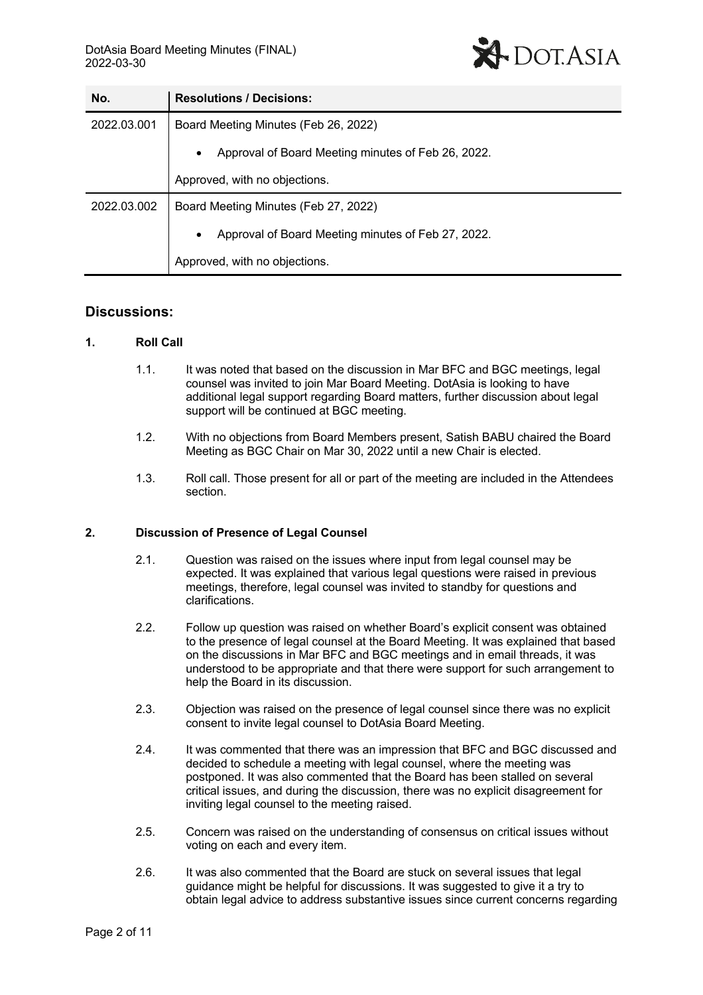

| No.         | <b>Resolutions / Decisions:</b>                                 |
|-------------|-----------------------------------------------------------------|
| 2022.03.001 | Board Meeting Minutes (Feb 26, 2022)                            |
|             | Approval of Board Meeting minutes of Feb 26, 2022.<br>$\bullet$ |
|             | Approved, with no objections.                                   |
| 2022.03.002 | Board Meeting Minutes (Feb 27, 2022)                            |
|             | Approval of Board Meeting minutes of Feb 27, 2022.<br>$\bullet$ |
|             | Approved, with no objections.                                   |

# **Discussions:**

### **1. Roll Call**

- 1.1. It was noted that based on the discussion in Mar BFC and BGC meetings, legal counsel was invited to join Mar Board Meeting. DotAsia is looking to have additional legal support regarding Board matters, further discussion about legal support will be continued at BGC meeting.
- 1.2. With no objections from Board Members present, Satish BABU chaired the Board Meeting as BGC Chair on Mar 30, 2022 until a new Chair is elected.
- 1.3. Roll call. Those present for all or part of the meeting are included in the Attendees section.

#### **2. Discussion of Presence of Legal Counsel**

- 2.1. Question was raised on the issues where input from legal counsel may be expected. It was explained that various legal questions were raised in previous meetings, therefore, legal counsel was invited to standby for questions and clarifications.
- 2.2. Follow up question was raised on whether Board's explicit consent was obtained to the presence of legal counsel at the Board Meeting. It was explained that based on the discussions in Mar BFC and BGC meetings and in email threads, it was understood to be appropriate and that there were support for such arrangement to help the Board in its discussion.
- 2.3. Objection was raised on the presence of legal counsel since there was no explicit consent to invite legal counsel to DotAsia Board Meeting.
- 2.4. It was commented that there was an impression that BFC and BGC discussed and decided to schedule a meeting with legal counsel, where the meeting was postponed. It was also commented that the Board has been stalled on several critical issues, and during the discussion, there was no explicit disagreement for inviting legal counsel to the meeting raised.
- 2.5. Concern was raised on the understanding of consensus on critical issues without voting on each and every item.
- 2.6. It was also commented that the Board are stuck on several issues that legal guidance might be helpful for discussions. It was suggested to give it a try to obtain legal advice to address substantive issues since current concerns regarding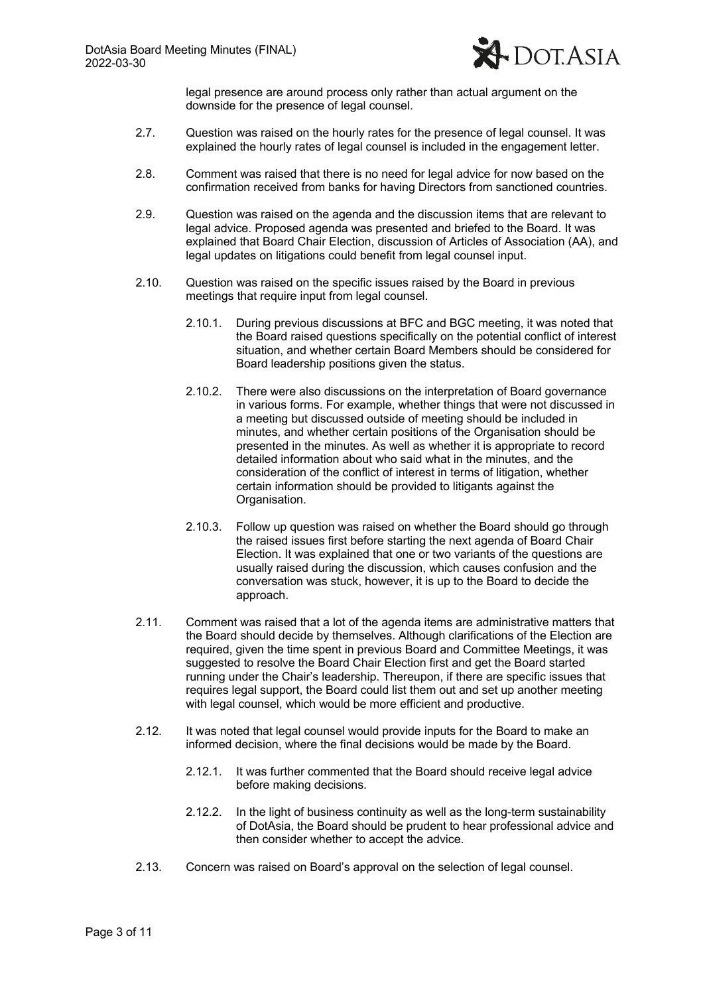

legal presence are around process only rather than actual argument on the downside for the presence of legal counsel.

- 2.7. Question was raised on the hourly rates for the presence of legal counsel. It was explained the hourly rates of legal counsel is included in the engagement letter.
- 2.8. Comment was raised that there is no need for legal advice for now based on the confirmation received from banks for having Directors from sanctioned countries.
- 2.9. Question was raised on the agenda and the discussion items that are relevant to legal advice. Proposed agenda was presented and briefed to the Board. It was explained that Board Chair Election, discussion of Articles of Association (AA), and legal updates on litigations could benefit from legal counsel input.
- 2.10. Question was raised on the specific issues raised by the Board in previous meetings that require input from legal counsel.
	- 2.10.1. During previous discussions at BFC and BGC meeting, it was noted that the Board raised questions specifically on the potential conflict of interest situation, and whether certain Board Members should be considered for Board leadership positions given the status.
	- 2.10.2. There were also discussions on the interpretation of Board governance in various forms. For example, whether things that were not discussed in a meeting but discussed outside of meeting should be included in minutes, and whether certain positions of the Organisation should be presented in the minutes. As well as whether it is appropriate to record detailed information about who said what in the minutes, and the consideration of the conflict of interest in terms of litigation, whether certain information should be provided to litigants against the Organisation.
	- 2.10.3. Follow up question was raised on whether the Board should go through the raised issues first before starting the next agenda of Board Chair Election. It was explained that one or two variants of the questions are usually raised during the discussion, which causes confusion and the conversation was stuck, however, it is up to the Board to decide the approach.
- 2.11. Comment was raised that a lot of the agenda items are administrative matters that the Board should decide by themselves. Although clarifications of the Election are required, given the time spent in previous Board and Committee Meetings, it was suggested to resolve the Board Chair Election first and get the Board started running under the Chair's leadership. Thereupon, if there are specific issues that requires legal support, the Board could list them out and set up another meeting with legal counsel, which would be more efficient and productive.
- 2.12. It was noted that legal counsel would provide inputs for the Board to make an informed decision, where the final decisions would be made by the Board.
	- 2.12.1. It was further commented that the Board should receive legal advice before making decisions.
	- 2.12.2. In the light of business continuity as well as the long-term sustainability of DotAsia, the Board should be prudent to hear professional advice and then consider whether to accept the advice.
- 2.13. Concern was raised on Board's approval on the selection of legal counsel.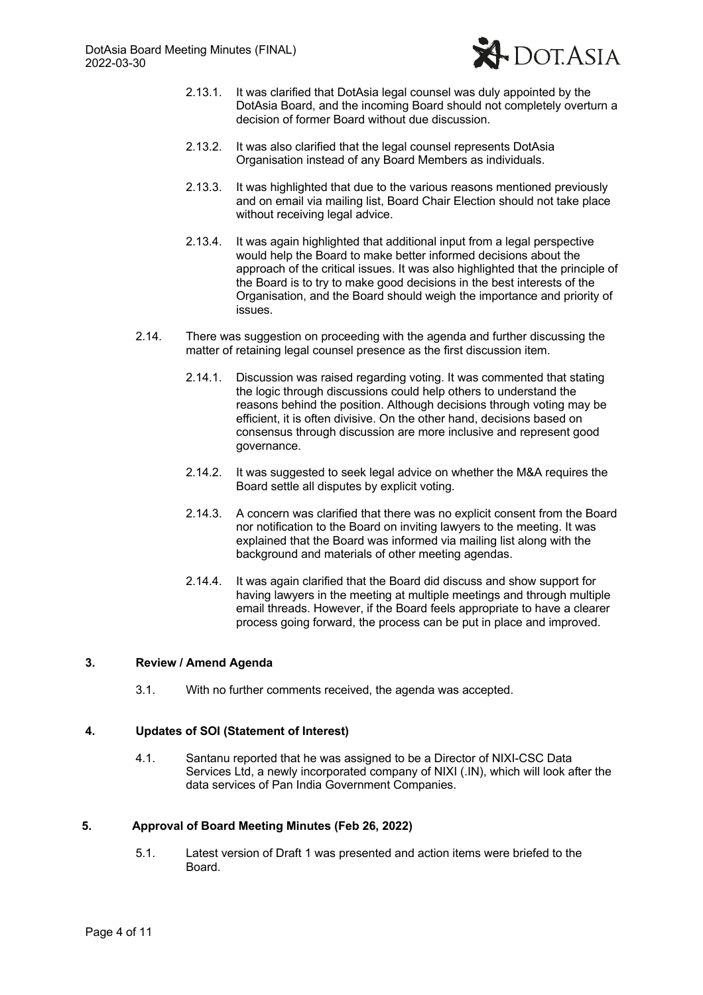

- 2.13.1. It was clarified that DotAsia legal counsel was duly appointed by the DotAsia Board, and the incoming Board should not completely overturn a decision of former Board without due discussion.
- 2.13.2. It was also clarified that the legal counsel represents DotAsia Organisation instead of any Board Members as individuals.
- 2.13.3. It was highlighted that due to the various reasons mentioned previously and on email via mailing list, Board Chair Election should not take place without receiving legal advice.
- 2.13.4. It was again highlighted that additional input from a legal perspective would help the Board to make better informed decisions about the approach of the critical issues. It was also highlighted that the principle of the Board is to try to make good decisions in the best interests of the Organisation, and the Board should weigh the importance and priority of issues.
- 2.14. There was suggestion on proceeding with the agenda and further discussing the matter of retaining legal counsel presence as the first discussion item.
	- 2.14.1. Discussion was raised regarding voting. It was commented that stating the logic through discussions could help others to understand the reasons behind the position. Although decisions through voting may be efficient, it is often divisive. On the other hand, decisions based on consensus through discussion are more inclusive and represent good governance.
	- 2.14.2. It was suggested to seek legal advice on whether the M&A requires the Board settle all disputes by explicit voting.
	- 2.14.3. A concern was clarified that there was no explicit consent from the Board nor notification to the Board on inviting lawyers to the meeting. It was explained that the Board was informed via mailing list along with the background and materials of other meeting agendas.
	- 2.14.4. It was again clarified that the Board did discuss and show support for having lawyers in the meeting at multiple meetings and through multiple email threads. However, if the Board feels appropriate to have a clearer process going forward, the process can be put in place and improved.

### **3. Review / Amend Agenda**

3.1. With no further comments received, the agenda was accepted.

### **4. Updates of SOI (Statement of Interest)**

4.1. Santanu reported that he was assigned to be a Director of NIXI-CSC Data Services Ltd, a newly incorporated company of NIXI (.IN), which will look after the data services of Pan India Government Companies.

# **5. Approval of Board Meeting Minutes (Feb 26, 2022)**

5.1. Latest version of Draft 1 was presented and action items were briefed to the **Board**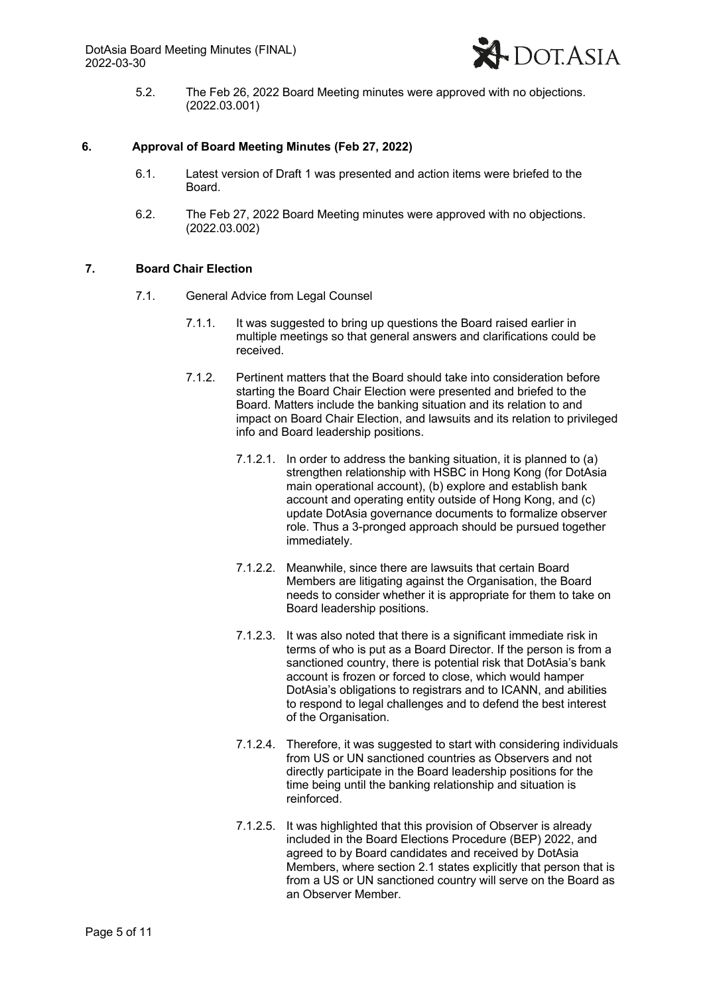

5.2. The Feb 26, 2022 Board Meeting minutes were approved with no objections. (2022.03.001)

### **6. Approval of Board Meeting Minutes (Feb 27, 2022)**

- 6.1. Latest version of Draft 1 was presented and action items were briefed to the Board.
- 6.2. The Feb 27, 2022 Board Meeting minutes were approved with no objections. (2022.03.002)

### **7. Board Chair Election**

- 7.1. General Advice from Legal Counsel
	- 7.1.1. It was suggested to bring up questions the Board raised earlier in multiple meetings so that general answers and clarifications could be received.
	- 7.1.2. Pertinent matters that the Board should take into consideration before starting the Board Chair Election were presented and briefed to the Board. Matters include the banking situation and its relation to and impact on Board Chair Election, and lawsuits and its relation to privileged info and Board leadership positions.
		- 7.1.2.1. In order to address the banking situation, it is planned to (a) strengthen relationship with HSBC in Hong Kong (for DotAsia main operational account), (b) explore and establish bank account and operating entity outside of Hong Kong, and (c) update DotAsia governance documents to formalize observer role. Thus a 3-pronged approach should be pursued together immediately.
		- 7.1.2.2. Meanwhile, since there are lawsuits that certain Board Members are litigating against the Organisation, the Board needs to consider whether it is appropriate for them to take on Board leadership positions.
		- 7.1.2.3. It was also noted that there is a significant immediate risk in terms of who is put as a Board Director. If the person is from a sanctioned country, there is potential risk that DotAsia's bank account is frozen or forced to close, which would hamper DotAsia's obligations to registrars and to ICANN, and abilities to respond to legal challenges and to defend the best interest of the Organisation.
		- 7.1.2.4. Therefore, it was suggested to start with considering individuals from US or UN sanctioned countries as Observers and not directly participate in the Board leadership positions for the time being until the banking relationship and situation is reinforced.
		- 7.1.2.5. It was highlighted that this provision of Observer is already included in the Board Elections Procedure (BEP) 2022, and agreed to by Board candidates and received by DotAsia Members, where section 2.1 states explicitly that person that is from a US or UN sanctioned country will serve on the Board as an Observer Member.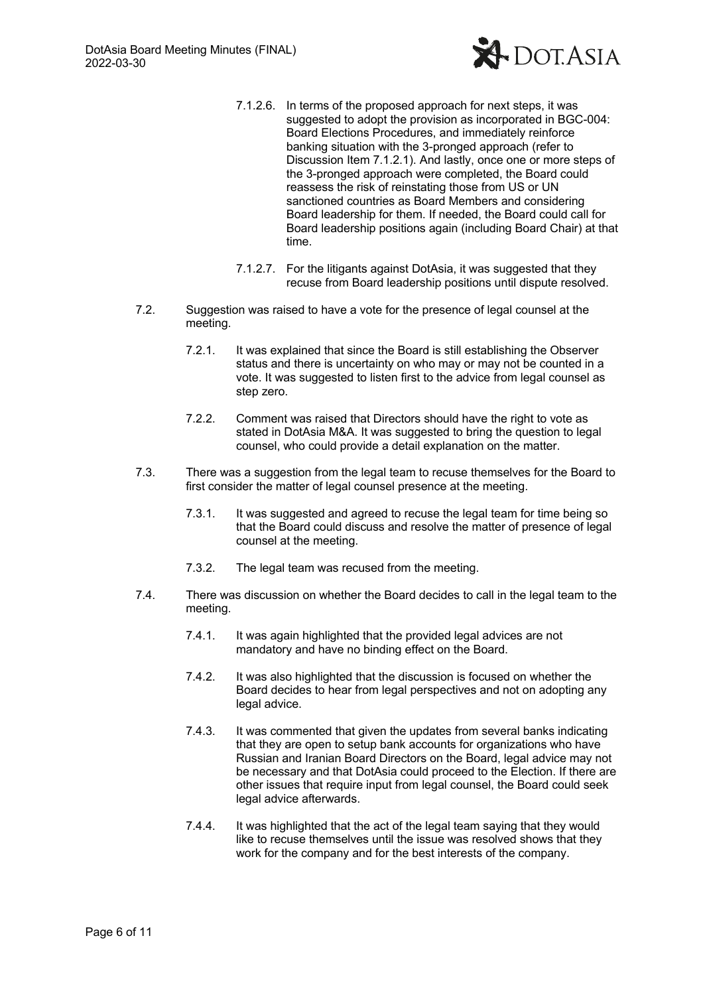

- 7.1.2.6. In terms of the proposed approach for next steps, it was suggested to adopt the provision as incorporated in BGC-004: Board Elections Procedures, and immediately reinforce banking situation with the 3-pronged approach (refer to Discussion Item 7.1.2.1). And lastly, once one or more steps of the 3-pronged approach were completed, the Board could reassess the risk of reinstating those from US or UN sanctioned countries as Board Members and considering Board leadership for them. If needed, the Board could call for Board leadership positions again (including Board Chair) at that time.
- 7.1.2.7. For the litigants against DotAsia, it was suggested that they recuse from Board leadership positions until dispute resolved.
- 7.2. Suggestion was raised to have a vote for the presence of legal counsel at the meeting.
	- 7.2.1. It was explained that since the Board is still establishing the Observer status and there is uncertainty on who may or may not be counted in a vote. It was suggested to listen first to the advice from legal counsel as step zero.
	- 7.2.2. Comment was raised that Directors should have the right to vote as stated in DotAsia M&A. It was suggested to bring the question to legal counsel, who could provide a detail explanation on the matter.
- 7.3. There was a suggestion from the legal team to recuse themselves for the Board to first consider the matter of legal counsel presence at the meeting.
	- 7.3.1. It was suggested and agreed to recuse the legal team for time being so that the Board could discuss and resolve the matter of presence of legal counsel at the meeting.
	- 7.3.2. The legal team was recused from the meeting.
- 7.4. There was discussion on whether the Board decides to call in the legal team to the meeting.
	- 7.4.1. It was again highlighted that the provided legal advices are not mandatory and have no binding effect on the Board.
	- 7.4.2. It was also highlighted that the discussion is focused on whether the Board decides to hear from legal perspectives and not on adopting any legal advice.
	- 7.4.3. It was commented that given the updates from several banks indicating that they are open to setup bank accounts for organizations who have Russian and Iranian Board Directors on the Board, legal advice may not be necessary and that DotAsia could proceed to the Election. If there are other issues that require input from legal counsel, the Board could seek legal advice afterwards.
	- 7.4.4. It was highlighted that the act of the legal team saying that they would like to recuse themselves until the issue was resolved shows that they work for the company and for the best interests of the company.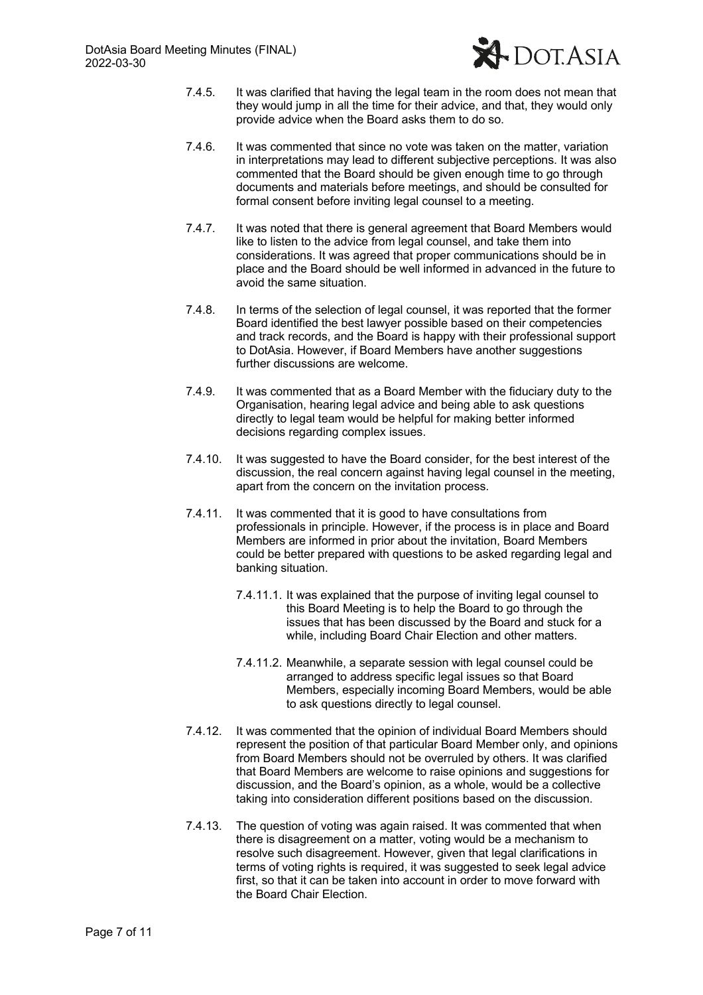

- 7.4.5. It was clarified that having the legal team in the room does not mean that they would jump in all the time for their advice, and that, they would only provide advice when the Board asks them to do so.
- 7.4.6. It was commented that since no vote was taken on the matter, variation in interpretations may lead to different subjective perceptions. It was also commented that the Board should be given enough time to go through documents and materials before meetings, and should be consulted for formal consent before inviting legal counsel to a meeting.
- 7.4.7. It was noted that there is general agreement that Board Members would like to listen to the advice from legal counsel, and take them into considerations. It was agreed that proper communications should be in place and the Board should be well informed in advanced in the future to avoid the same situation.
- 7.4.8. In terms of the selection of legal counsel, it was reported that the former Board identified the best lawyer possible based on their competencies and track records, and the Board is happy with their professional support to DotAsia. However, if Board Members have another suggestions further discussions are welcome.
- 7.4.9. It was commented that as a Board Member with the fiduciary duty to the Organisation, hearing legal advice and being able to ask questions directly to legal team would be helpful for making better informed decisions regarding complex issues.
- 7.4.10. It was suggested to have the Board consider, for the best interest of the discussion, the real concern against having legal counsel in the meeting, apart from the concern on the invitation process.
- 7.4.11. It was commented that it is good to have consultations from professionals in principle. However, if the process is in place and Board Members are informed in prior about the invitation, Board Members could be better prepared with questions to be asked regarding legal and banking situation.
	- 7.4.11.1. It was explained that the purpose of inviting legal counsel to this Board Meeting is to help the Board to go through the issues that has been discussed by the Board and stuck for a while, including Board Chair Election and other matters.
	- 7.4.11.2. Meanwhile, a separate session with legal counsel could be arranged to address specific legal issues so that Board Members, especially incoming Board Members, would be able to ask questions directly to legal counsel.
- 7.4.12. It was commented that the opinion of individual Board Members should represent the position of that particular Board Member only, and opinions from Board Members should not be overruled by others. It was clarified that Board Members are welcome to raise opinions and suggestions for discussion, and the Board's opinion, as a whole, would be a collective taking into consideration different positions based on the discussion.
- 7.4.13. The question of voting was again raised. It was commented that when there is disagreement on a matter, voting would be a mechanism to resolve such disagreement. However, given that legal clarifications in terms of voting rights is required, it was suggested to seek legal advice first, so that it can be taken into account in order to move forward with the Board Chair Election.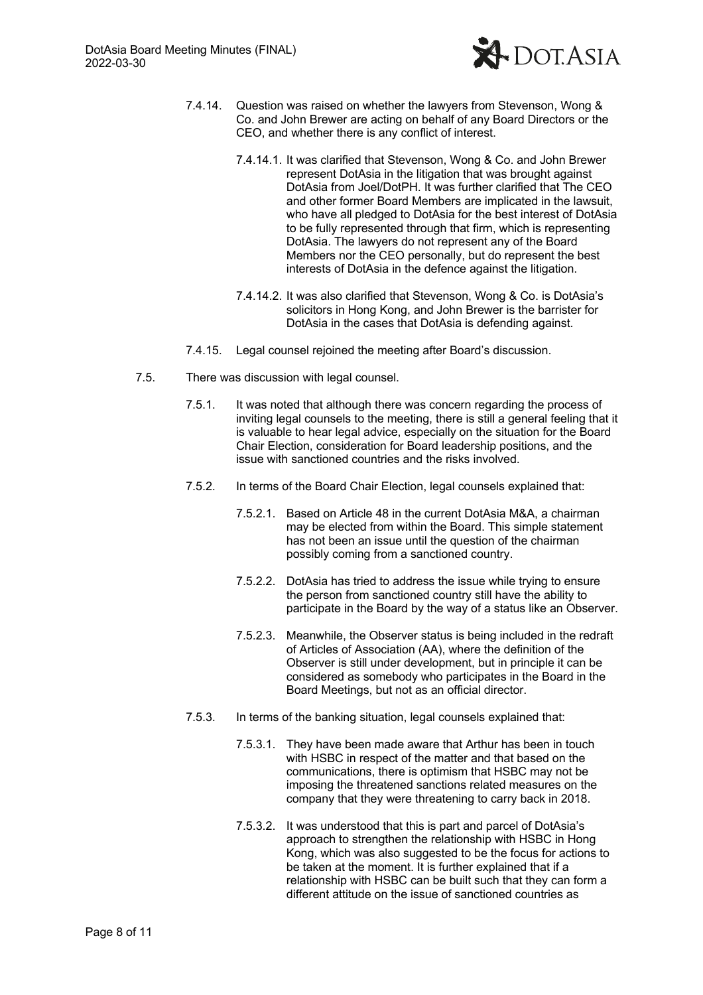

- 7.4.14. Question was raised on whether the lawyers from Stevenson, Wong & Co. and John Brewer are acting on behalf of any Board Directors or the CEO, and whether there is any conflict of interest.
	- 7.4.14.1. It was clarified that Stevenson, Wong & Co. and John Brewer represent DotAsia in the litigation that was brought against DotAsia from Joel/DotPH. It was further clarified that The CEO and other former Board Members are implicated in the lawsuit, who have all pledged to DotAsia for the best interest of DotAsia to be fully represented through that firm, which is representing DotAsia. The lawyers do not represent any of the Board Members nor the CEO personally, but do represent the best interests of DotAsia in the defence against the litigation.
	- 7.4.14.2. It was also clarified that Stevenson, Wong & Co. is DotAsia's solicitors in Hong Kong, and John Brewer is the barrister for DotAsia in the cases that DotAsia is defending against.
- 7.4.15. Legal counsel rejoined the meeting after Board's discussion.
- 7.5. There was discussion with legal counsel.
	- 7.5.1. It was noted that although there was concern regarding the process of inviting legal counsels to the meeting, there is still a general feeling that it is valuable to hear legal advice, especially on the situation for the Board Chair Election, consideration for Board leadership positions, and the issue with sanctioned countries and the risks involved.
	- 7.5.2. In terms of the Board Chair Election, legal counsels explained that:
		- 7.5.2.1. Based on Article 48 in the current DotAsia M&A, a chairman may be elected from within the Board. This simple statement has not been an issue until the question of the chairman possibly coming from a sanctioned country.
		- 7.5.2.2. DotAsia has tried to address the issue while trying to ensure the person from sanctioned country still have the ability to participate in the Board by the way of a status like an Observer.
		- 7.5.2.3. Meanwhile, the Observer status is being included in the redraft of Articles of Association (AA), where the definition of the Observer is still under development, but in principle it can be considered as somebody who participates in the Board in the Board Meetings, but not as an official director.
	- 7.5.3. In terms of the banking situation, legal counsels explained that:
		- 7.5.3.1. They have been made aware that Arthur has been in touch with HSBC in respect of the matter and that based on the communications, there is optimism that HSBC may not be imposing the threatened sanctions related measures on the company that they were threatening to carry back in 2018.
		- 7.5.3.2. It was understood that this is part and parcel of DotAsia's approach to strengthen the relationship with HSBC in Hong Kong, which was also suggested to be the focus for actions to be taken at the moment. It is further explained that if a relationship with HSBC can be built such that they can form a different attitude on the issue of sanctioned countries as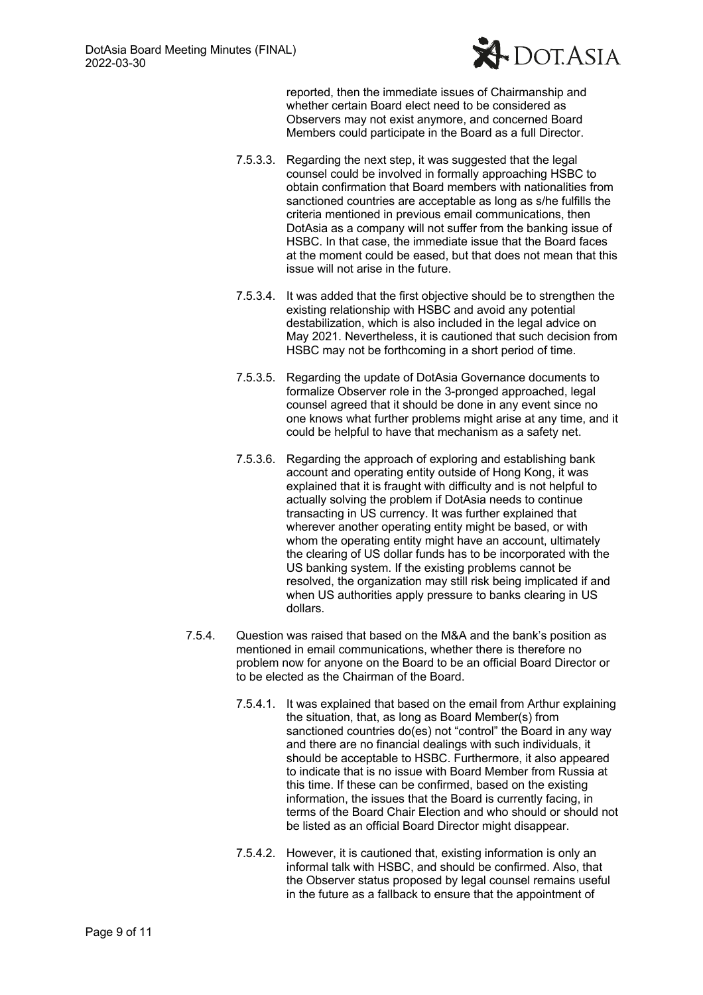

reported, then the immediate issues of Chairmanship and whether certain Board elect need to be considered as Observers may not exist anymore, and concerned Board Members could participate in the Board as a full Director.

- 7.5.3.3. Regarding the next step, it was suggested that the legal counsel could be involved in formally approaching HSBC to obtain confirmation that Board members with nationalities from sanctioned countries are acceptable as long as s/he fulfills the criteria mentioned in previous email communications, then DotAsia as a company will not suffer from the banking issue of HSBC. In that case, the immediate issue that the Board faces at the moment could be eased, but that does not mean that this issue will not arise in the future.
- 7.5.3.4. It was added that the first objective should be to strengthen the existing relationship with HSBC and avoid any potential destabilization, which is also included in the legal advice on May 2021. Nevertheless, it is cautioned that such decision from HSBC may not be forthcoming in a short period of time.
- 7.5.3.5. Regarding the update of DotAsia Governance documents to formalize Observer role in the 3-pronged approached, legal counsel agreed that it should be done in any event since no one knows what further problems might arise at any time, and it could be helpful to have that mechanism as a safety net.
- 7.5.3.6. Regarding the approach of exploring and establishing bank account and operating entity outside of Hong Kong, it was explained that it is fraught with difficulty and is not helpful to actually solving the problem if DotAsia needs to continue transacting in US currency. It was further explained that wherever another operating entity might be based, or with whom the operating entity might have an account, ultimately the clearing of US dollar funds has to be incorporated with the US banking system. If the existing problems cannot be resolved, the organization may still risk being implicated if and when US authorities apply pressure to banks clearing in US dollars.
- 7.5.4. Question was raised that based on the M&A and the bank's position as mentioned in email communications, whether there is therefore no problem now for anyone on the Board to be an official Board Director or to be elected as the Chairman of the Board.
	- 7.5.4.1. It was explained that based on the email from Arthur explaining the situation, that, as long as Board Member(s) from sanctioned countries do(es) not "control" the Board in any way and there are no financial dealings with such individuals, it should be acceptable to HSBC. Furthermore, it also appeared to indicate that is no issue with Board Member from Russia at this time. If these can be confirmed, based on the existing information, the issues that the Board is currently facing, in terms of the Board Chair Election and who should or should not be listed as an official Board Director might disappear.
	- 7.5.4.2. However, it is cautioned that, existing information is only an informal talk with HSBC, and should be confirmed. Also, that the Observer status proposed by legal counsel remains useful in the future as a fallback to ensure that the appointment of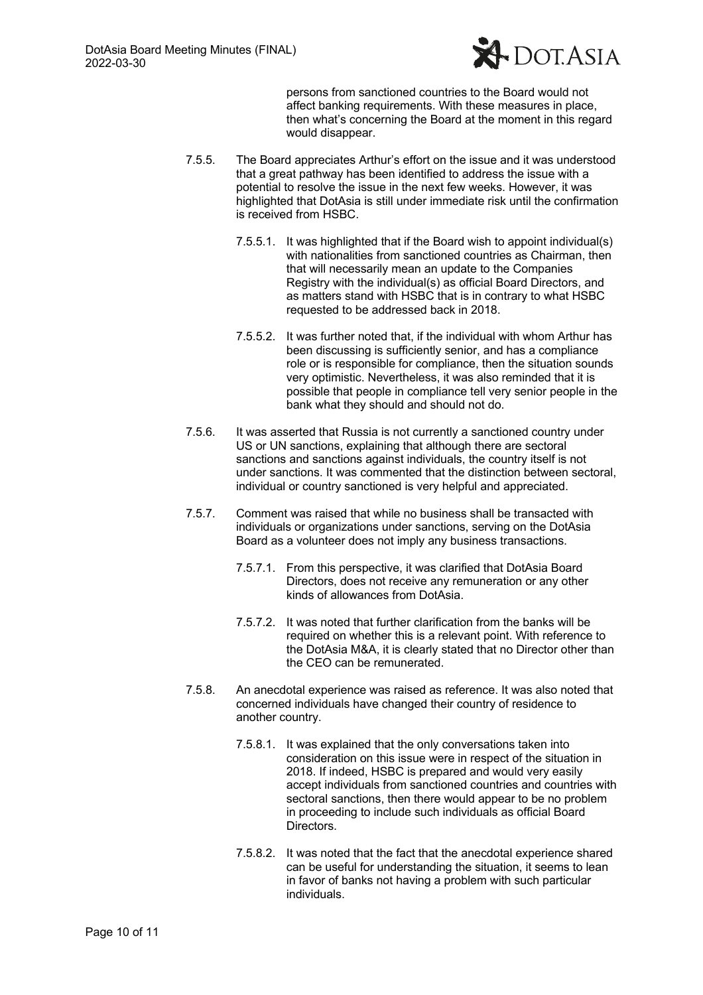

persons from sanctioned countries to the Board would not affect banking requirements. With these measures in place, then what's concerning the Board at the moment in this regard would disappear.

- 7.5.5. The Board appreciates Arthur's effort on the issue and it was understood that a great pathway has been identified to address the issue with a potential to resolve the issue in the next few weeks. However, it was highlighted that DotAsia is still under immediate risk until the confirmation is received from HSBC.
	- 7.5.5.1. It was highlighted that if the Board wish to appoint individual(s) with nationalities from sanctioned countries as Chairman, then that will necessarily mean an update to the Companies Registry with the individual(s) as official Board Directors, and as matters stand with HSBC that is in contrary to what HSBC requested to be addressed back in 2018.
	- 7.5.5.2. It was further noted that, if the individual with whom Arthur has been discussing is sufficiently senior, and has a compliance role or is responsible for compliance, then the situation sounds very optimistic. Nevertheless, it was also reminded that it is possible that people in compliance tell very senior people in the bank what they should and should not do.
- 7.5.6. It was asserted that Russia is not currently a sanctioned country under US or UN sanctions, explaining that although there are sectoral sanctions and sanctions against individuals, the country itself is not under sanctions. It was commented that the distinction between sectoral, individual or country sanctioned is very helpful and appreciated.
- 7.5.7. Comment was raised that while no business shall be transacted with individuals or organizations under sanctions, serving on the DotAsia Board as a volunteer does not imply any business transactions.
	- 7.5.7.1. From this perspective, it was clarified that DotAsia Board Directors, does not receive any remuneration or any other kinds of allowances from DotAsia.
	- 7.5.7.2. It was noted that further clarification from the banks will be required on whether this is a relevant point. With reference to the DotAsia M&A, it is clearly stated that no Director other than the CEO can be remunerated.
- 7.5.8. An anecdotal experience was raised as reference. It was also noted that concerned individuals have changed their country of residence to another country.
	- 7.5.8.1. It was explained that the only conversations taken into consideration on this issue were in respect of the situation in 2018. If indeed, HSBC is prepared and would very easily accept individuals from sanctioned countries and countries with sectoral sanctions, then there would appear to be no problem in proceeding to include such individuals as official Board Directors.
	- 7.5.8.2. It was noted that the fact that the anecdotal experience shared can be useful for understanding the situation, it seems to lean in favor of banks not having a problem with such particular individuals.